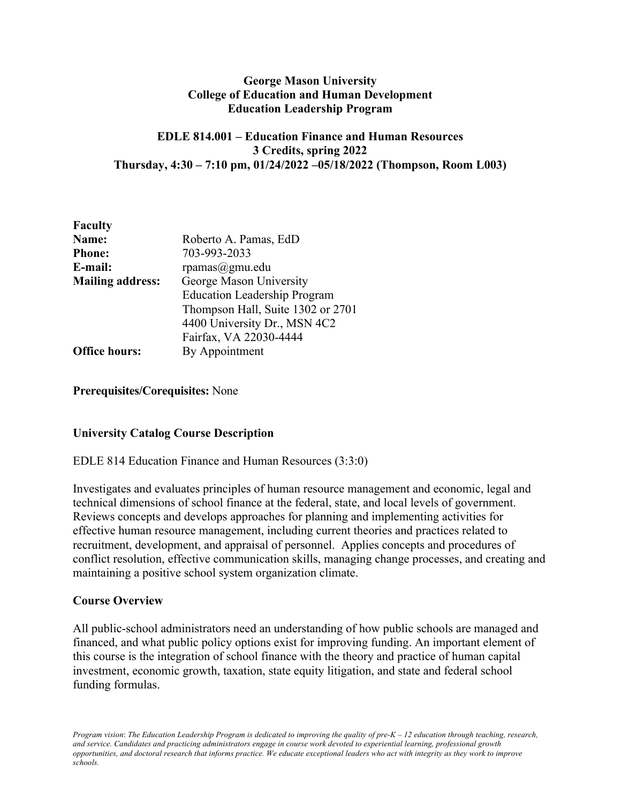## **George Mason University College of Education and Human Development Education Leadership Program**

## **EDLE 814.001 – Education Finance and Human Resources 3 Credits, spring 2022 Thursday, 4:30 – 7:10 pm, 01/24/2022 –05/18/2022 (Thompson, Room L003)**

| <b>Faculty</b>          |                                     |
|-------------------------|-------------------------------------|
| Name:                   | Roberto A. Pamas, EdD               |
| <b>Phone:</b>           | 703-993-2033                        |
| E-mail:                 | $r$ pamas $@g$ mu.edu               |
| <b>Mailing address:</b> | George Mason University             |
|                         | <b>Education Leadership Program</b> |
|                         | Thompson Hall, Suite 1302 or 2701   |
|                         | 4400 University Dr., MSN 4C2        |
|                         | Fairfax, VA 22030-4444              |
| <b>Office hours:</b>    | By Appointment                      |

### **Prerequisites/Corequisites:** None

## **University Catalog Course Description**

## EDLE 814 Education Finance and Human Resources (3:3:0)

Investigates and evaluates principles of human resource management and economic, legal and technical dimensions of school finance at the federal, state, and local levels of government. Reviews concepts and develops approaches for planning and implementing activities for effective human resource management, including current theories and practices related to recruitment, development, and appraisal of personnel. Applies concepts and procedures of conflict resolution, effective communication skills, managing change processes, and creating and maintaining a positive school system organization climate.

## **Course Overview**

All public-school administrators need an understanding of how public schools are managed and financed, and what public policy options exist for improving funding. An important element of this course is the integration of school finance with the theory and practice of human capital investment, economic growth, taxation, state equity litigation, and state and federal school funding formulas.

*Program vision*: *The Education Leadership Program is dedicated to improving the quality of pre-K – 12 education through teaching, research, and service. Candidates and practicing administrators engage in course work devoted to experiential learning, professional growth opportunities, and doctoral research that informs practice. We educate exceptional leaders who act with integrity as they work to improve schools.*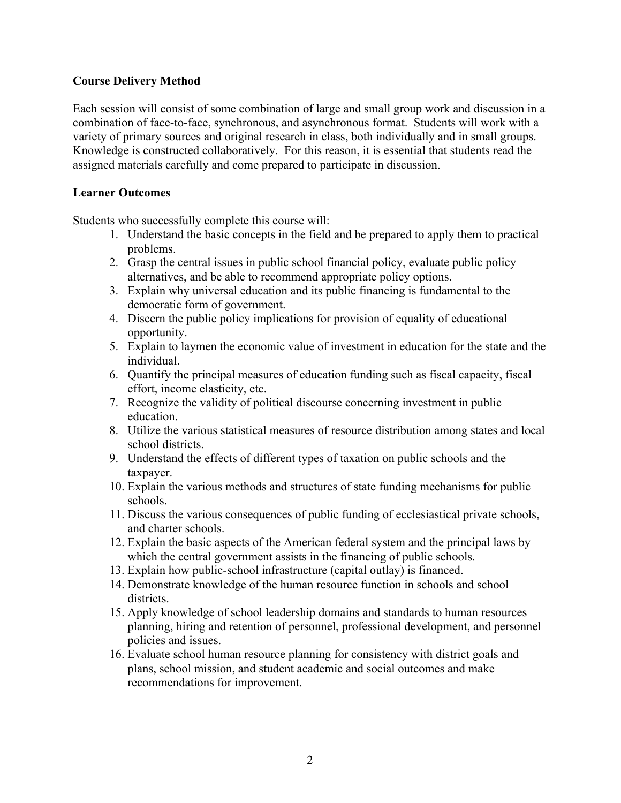# **Course Delivery Method**

Each session will consist of some combination of large and small group work and discussion in a combination of face-to-face, synchronous, and asynchronous format. Students will work with a variety of primary sources and original research in class, both individually and in small groups. Knowledge is constructed collaboratively. For this reason, it is essential that students read the assigned materials carefully and come prepared to participate in discussion.

## **Learner Outcomes**

Students who successfully complete this course will:

- 1. Understand the basic concepts in the field and be prepared to apply them to practical problems.
- 2. Grasp the central issues in public school financial policy, evaluate public policy alternatives, and be able to recommend appropriate policy options.
- 3. Explain why universal education and its public financing is fundamental to the democratic form of government.
- 4. Discern the public policy implications for provision of equality of educational opportunity.
- 5. Explain to laymen the economic value of investment in education for the state and the individual.
- 6. Quantify the principal measures of education funding such as fiscal capacity, fiscal effort, income elasticity, etc.
- 7. Recognize the validity of political discourse concerning investment in public education.
- 8. Utilize the various statistical measures of resource distribution among states and local school districts.
- 9. Understand the effects of different types of taxation on public schools and the taxpayer.
- 10. Explain the various methods and structures of state funding mechanisms for public schools.
- 11. Discuss the various consequences of public funding of ecclesiastical private schools, and charter schools.
- 12. Explain the basic aspects of the American federal system and the principal laws by which the central government assists in the financing of public schools.
- 13. Explain how public-school infrastructure (capital outlay) is financed.
- 14. Demonstrate knowledge of the human resource function in schools and school districts.
- 15. Apply knowledge of school leadership domains and standards to human resources planning, hiring and retention of personnel, professional development, and personnel policies and issues.
- 16. Evaluate school human resource planning for consistency with district goals and plans, school mission, and student academic and social outcomes and make recommendations for improvement.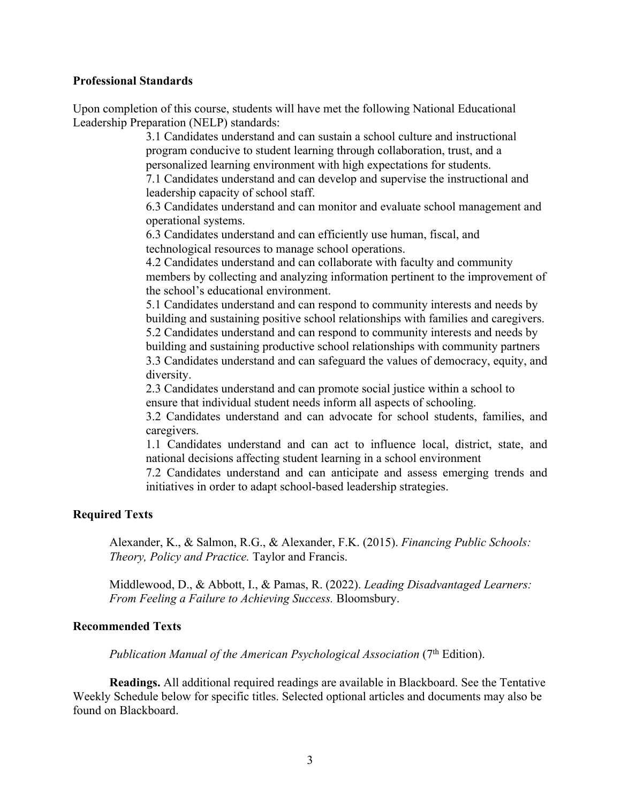#### **Professional Standards**

Upon completion of this course, students will have met the following National Educational Leadership Preparation (NELP) standards:

> 3.1 Candidates understand and can sustain a school culture and instructional program conducive to student learning through collaboration, trust, and a personalized learning environment with high expectations for students.

7.1 Candidates understand and can develop and supervise the instructional and leadership capacity of school staff.

6.3 Candidates understand and can monitor and evaluate school management and operational systems.

6.3 Candidates understand and can efficiently use human, fiscal, and technological resources to manage school operations.

4.2 Candidates understand and can collaborate with faculty and community members by collecting and analyzing information pertinent to the improvement of the school's educational environment.

5.1 Candidates understand and can respond to community interests and needs by building and sustaining positive school relationships with families and caregivers. 5.2 Candidates understand and can respond to community interests and needs by building and sustaining productive school relationships with community partners 3.3 Candidates understand and can safeguard the values of democracy, equity, and diversity.

2.3 Candidates understand and can promote social justice within a school to ensure that individual student needs inform all aspects of schooling.

3.2 Candidates understand and can advocate for school students, families, and caregivers.

1.1 Candidates understand and can act to influence local, district, state, and national decisions affecting student learning in a school environment

7.2 Candidates understand and can anticipate and assess emerging trends and initiatives in order to adapt school-based leadership strategies.

#### **Required Texts**

Alexander, K., & Salmon, R.G., & Alexander, F.K. (2015). *Financing Public Schools: Theory, Policy and Practice.* Taylor and Francis.

Middlewood, D., & Abbott, I., & Pamas, R. (2022). *Leading Disadvantaged Learners: From Feeling a Failure to Achieving Success.* Bloomsbury.

### **Recommended Texts**

*Publication Manual of the American Psychological Association* (7<sup>th</sup> Edition).

**Readings.** All additional required readings are available in Blackboard. See the Tentative Weekly Schedule below for specific titles. Selected optional articles and documents may also be found on Blackboard.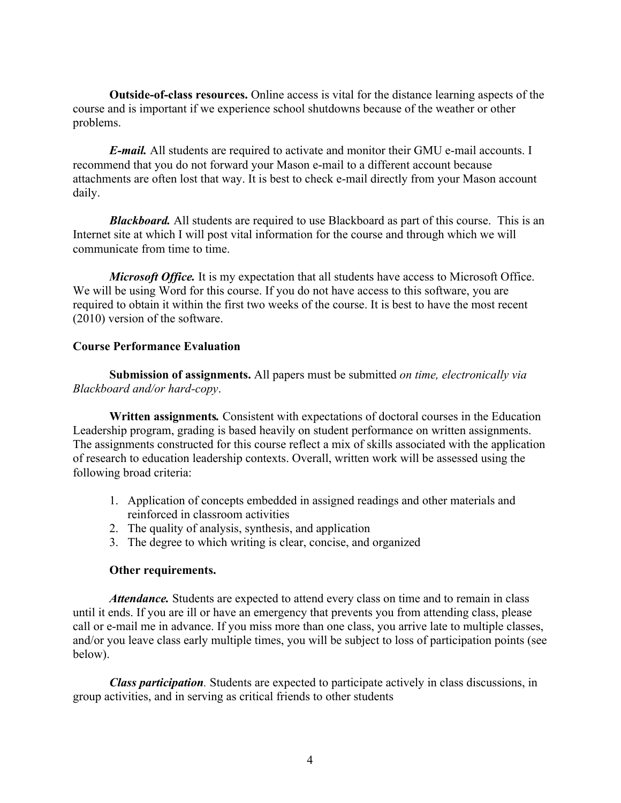**Outside-of-class resources.** Online access is vital for the distance learning aspects of the course and is important if we experience school shutdowns because of the weather or other problems.

*E-mail.* All students are required to activate and monitor their GMU e-mail accounts. I recommend that you do not forward your Mason e-mail to a different account because attachments are often lost that way. It is best to check e-mail directly from your Mason account daily.

*Blackboard.* All students are required to use Blackboard as part of this course. This is an Internet site at which I will post vital information for the course and through which we will communicate from time to time.

*Microsoft Office.* It is my expectation that all students have access to Microsoft Office. We will be using Word for this course. If you do not have access to this software, you are required to obtain it within the first two weeks of the course. It is best to have the most recent (2010) version of the software.

## **Course Performance Evaluation**

**Submission of assignments.** All papers must be submitted *on time, electronically via Blackboard and/or hard-copy*.

**Written assignments***.* Consistent with expectations of doctoral courses in the Education Leadership program, grading is based heavily on student performance on written assignments. The assignments constructed for this course reflect a mix of skills associated with the application of research to education leadership contexts. Overall, written work will be assessed using the following broad criteria:

- 1. Application of concepts embedded in assigned readings and other materials and reinforced in classroom activities
- 2. The quality of analysis, synthesis, and application
- 3. The degree to which writing is clear, concise, and organized

## **Other requirements.**

*Attendance*. Students are expected to attend every class on time and to remain in class until it ends. If you are ill or have an emergency that prevents you from attending class, please call or e-mail me in advance. If you miss more than one class, you arrive late to multiple classes, and/or you leave class early multiple times, you will be subject to loss of participation points (see below).

*Class participation.* Students are expected to participate actively in class discussions, in group activities, and in serving as critical friends to other students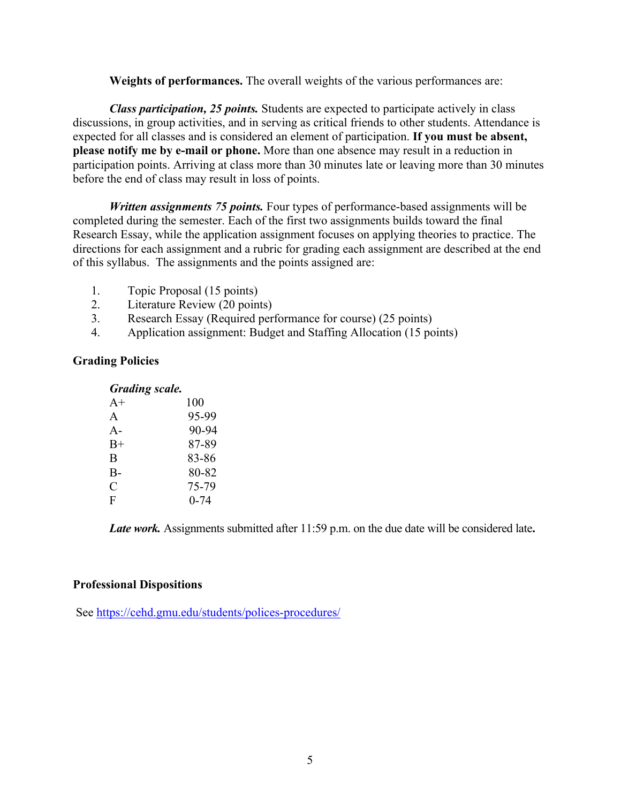**Weights of performances.** The overall weights of the various performances are:

*Class participation, 25 points.* Students are expected to participate actively in class discussions, in group activities, and in serving as critical friends to other students. Attendance is expected for all classes and is considered an element of participation. **If you must be absent, please notify me by e-mail or phone.** More than one absence may result in a reduction in participation points. Arriving at class more than 30 minutes late or leaving more than 30 minutes before the end of class may result in loss of points.

*Written assignments 75 points.* Four types of performance-based assignments will be completed during the semester. Each of the first two assignments builds toward the final Research Essay, while the application assignment focuses on applying theories to practice. The directions for each assignment and a rubric for grading each assignment are described at the end of this syllabus. The assignments and the points assigned are:

- 1. Topic Proposal (15 points)
- 2. Literature Review (20 points)
- 3. Research Essay (Required performance for course) (25 points)
- 4. Application assignment: Budget and Staffing Allocation (15 points)

### **Grading Policies**

#### *Grading scale.*

| $A+$  | 100      |
|-------|----------|
| A     | 95-99    |
| $A-$  | 90-94    |
| $B+$  | 87-89    |
| B     | 83-86    |
| $B -$ | 80-82    |
| C     | 75-79    |
| F     | $0 - 74$ |

*Late work.* Assignments submitted after 11:59 p.m. on the due date will be considered late**.**

#### **Professional Dispositions**

See https://cehd.gmu.edu/students/polices-procedures/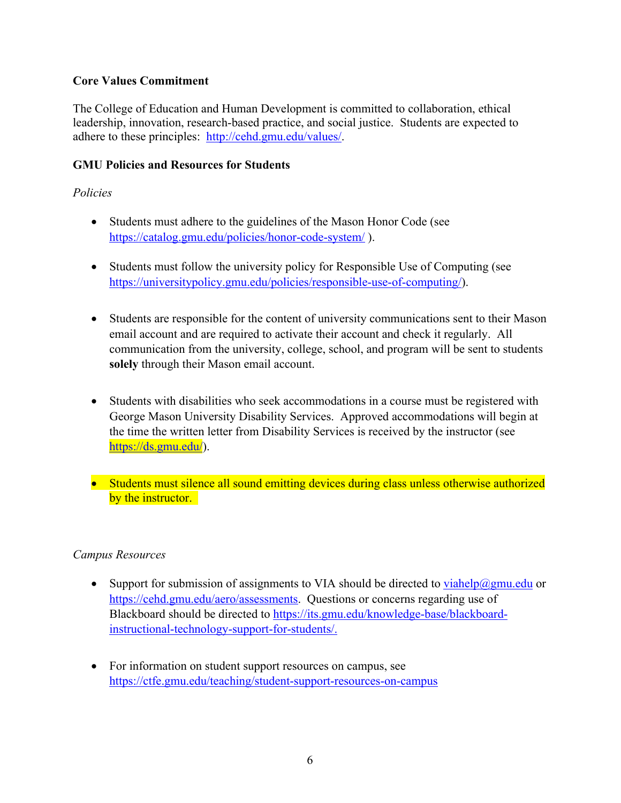# **Core Values Commitment**

The College of Education and Human Development is committed to collaboration, ethical leadership, innovation, research-based practice, and social justice. Students are expected to adhere to these principles: http://cehd.gmu.edu/values/.

# **GMU Policies and Resources for Students**

# *Policies*

- Students must adhere to the guidelines of the Mason Honor Code (see https://catalog.gmu.edu/policies/honor-code-system/ ).
- Students must follow the university policy for Responsible Use of Computing (see https://universitypolicy.gmu.edu/policies/responsible-use-of-computing/).
- Students are responsible for the content of university communications sent to their Mason email account and are required to activate their account and check it regularly. All communication from the university, college, school, and program will be sent to students **solely** through their Mason email account.
- Students with disabilities who seek accommodations in a course must be registered with George Mason University Disability Services. Approved accommodations will begin at the time the written letter from Disability Services is received by the instructor (see https://ds.gmu.edu/).
- Students must silence all sound emitting devices during class unless otherwise authorized by the instructor.

# *Campus Resources*

- Support for submission of assignments to VIA should be directed to  $viahelp@gmu.edu$  or</u> https://cehd.gmu.edu/aero/assessments. Questions or concerns regarding use of Blackboard should be directed to https://its.gmu.edu/knowledge-base/blackboardinstructional-technology-support-for-students/.
- For information on student support resources on campus, see https://ctfe.gmu.edu/teaching/student-support-resources-on-campus